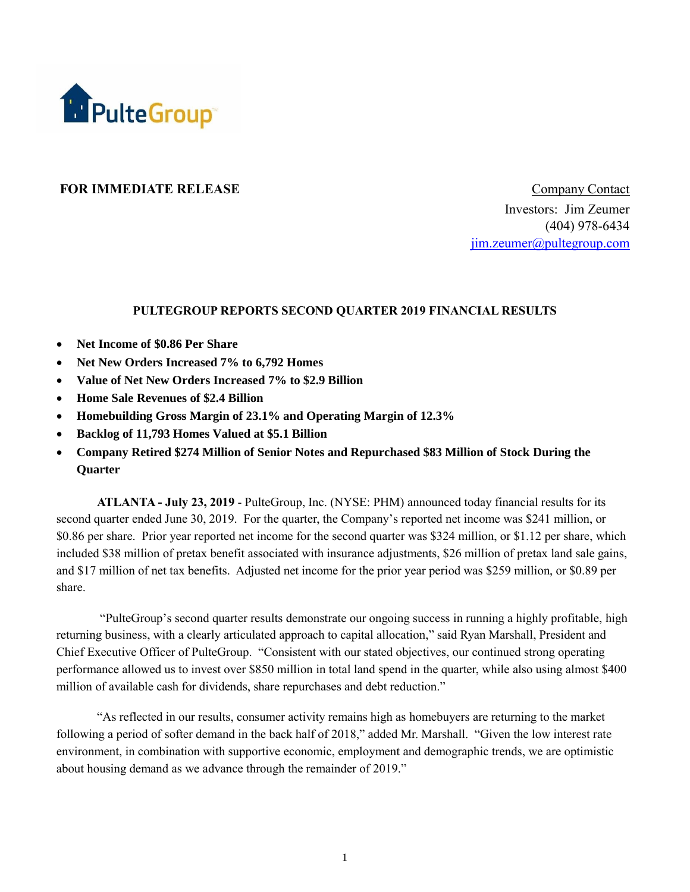

### **FOR IMMEDIATE RELEASE COMPANY** Company Contact

Investors: Jim Zeumer (404) 978-6434 [jim.zeumer@pultegroup.com](mailto:jim.zeumer@pultegroup.com)

#### **PULTEGROUP REPORTS SECOND QUARTER 2019 FINANCIAL RESULTS**

- **Net Income of \$0.86 Per Share**
- **Net New Orders Increased 7% to 6,792 Homes**
- **Value of Net New Orders Increased 7% to \$2.9 Billion**
- **Home Sale Revenues of \$2.4 Billion**
- **Homebuilding Gross Margin of 23.1% and Operating Margin of 12.3%**
- **Backlog of 11,793 Homes Valued at \$5.1 Billion**
- **Company Retired \$274 Million of Senior Notes and Repurchased \$83 Million of Stock During the Quarter**

**ATLANTA - July 23, 2019** - PulteGroup, Inc. (NYSE: PHM) announced today financial results for its second quarter ended June 30, 2019. For the quarter, the Company's reported net income was \$241 million, or \$0.86 per share. Prior year reported net income for the second quarter was \$324 million, or \$1.12 per share, which included \$38 million of pretax benefit associated with insurance adjustments, \$26 million of pretax land sale gains, and \$17 million of net tax benefits. Adjusted net income for the prior year period was \$259 million, or \$0.89 per share.

"PulteGroup's second quarter results demonstrate our ongoing success in running a highly profitable, high returning business, with a clearly articulated approach to capital allocation," said Ryan Marshall, President and Chief Executive Officer of PulteGroup. "Consistent with our stated objectives, our continued strong operating performance allowed us to invest over \$850 million in total land spend in the quarter, while also using almost \$400 million of available cash for dividends, share repurchases and debt reduction."

"As reflected in our results, consumer activity remains high as homebuyers are returning to the market following a period of softer demand in the back half of 2018," added Mr. Marshall. "Given the low interest rate environment, in combination with supportive economic, employment and demographic trends, we are optimistic about housing demand as we advance through the remainder of 2019."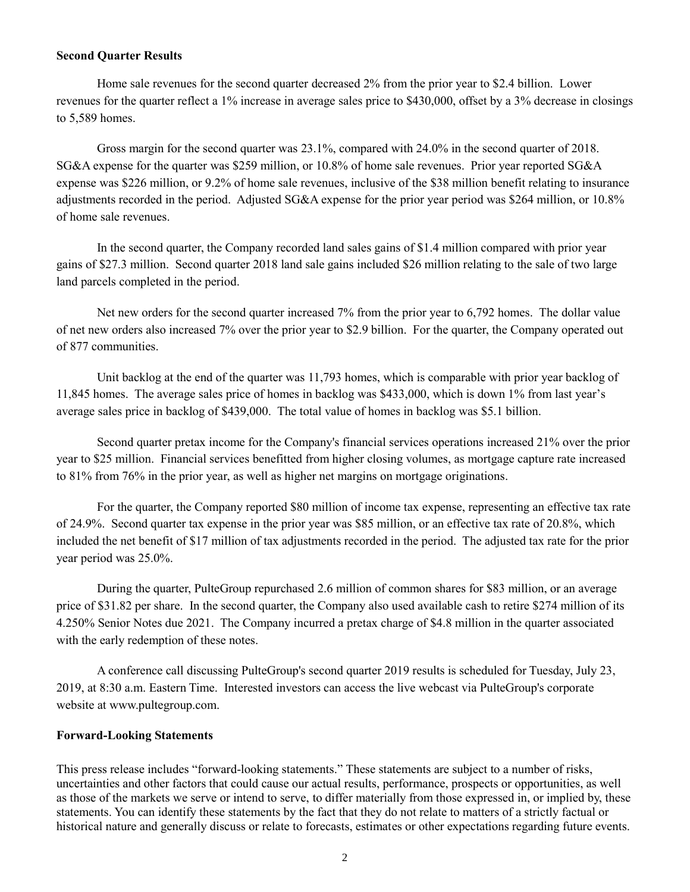#### **Second Quarter Results**

Home sale revenues for the second quarter decreased 2% from the prior year to \$2.4 billion. Lower revenues for the quarter reflect a 1% increase in average sales price to \$430,000, offset by a 3% decrease in closings to 5,589 homes.

Gross margin for the second quarter was 23.1%, compared with 24.0% in the second quarter of 2018. SG&A expense for the quarter was \$259 million, or 10.8% of home sale revenues. Prior year reported SG&A expense was \$226 million, or 9.2% of home sale revenues, inclusive of the \$38 million benefit relating to insurance adjustments recorded in the period. Adjusted SG&A expense for the prior year period was \$264 million, or 10.8% of home sale revenues.

In the second quarter, the Company recorded land sales gains of \$1.4 million compared with prior year gains of \$27.3 million. Second quarter 2018 land sale gains included \$26 million relating to the sale of two large land parcels completed in the period.

Net new orders for the second quarter increased 7% from the prior year to 6,792 homes. The dollar value of net new orders also increased 7% over the prior year to \$2.9 billion. For the quarter, the Company operated out of 877 communities.

Unit backlog at the end of the quarter was 11,793 homes, which is comparable with prior year backlog of 11,845 homes. The average sales price of homes in backlog was \$433,000, which is down 1% from last year's average sales price in backlog of \$439,000. The total value of homes in backlog was \$5.1 billion.

Second quarter pretax income for the Company's financial services operations increased 21% over the prior year to \$25 million. Financial services benefitted from higher closing volumes, as mortgage capture rate increased to 81% from 76% in the prior year, as well as higher net margins on mortgage originations.

For the quarter, the Company reported \$80 million of income tax expense, representing an effective tax rate of 24.9%. Second quarter tax expense in the prior year was \$85 million, or an effective tax rate of 20.8%, which included the net benefit of \$17 million of tax adjustments recorded in the period. The adjusted tax rate for the prior year period was 25.0%.

During the quarter, PulteGroup repurchased 2.6 million of common shares for \$83 million, or an average price of \$31.82 per share. In the second quarter, the Company also used available cash to retire \$274 million of its 4.250% Senior Notes due 2021. The Company incurred a pretax charge of \$4.8 million in the quarter associated with the early redemption of these notes.

A conference call discussing PulteGroup's second quarter 2019 results is scheduled for Tuesday, July 23, 2019, at 8:30 a.m. Eastern Time. Interested investors can access the live webcast via PulteGroup's corporate website at www.pultegroup.com.

#### **Forward-Looking Statements**

This press release includes "forward-looking statements." These statements are subject to a number of risks, uncertainties and other factors that could cause our actual results, performance, prospects or opportunities, as well as those of the markets we serve or intend to serve, to differ materially from those expressed in, or implied by, these statements. You can identify these statements by the fact that they do not relate to matters of a strictly factual or historical nature and generally discuss or relate to forecasts, estimates or other expectations regarding future events.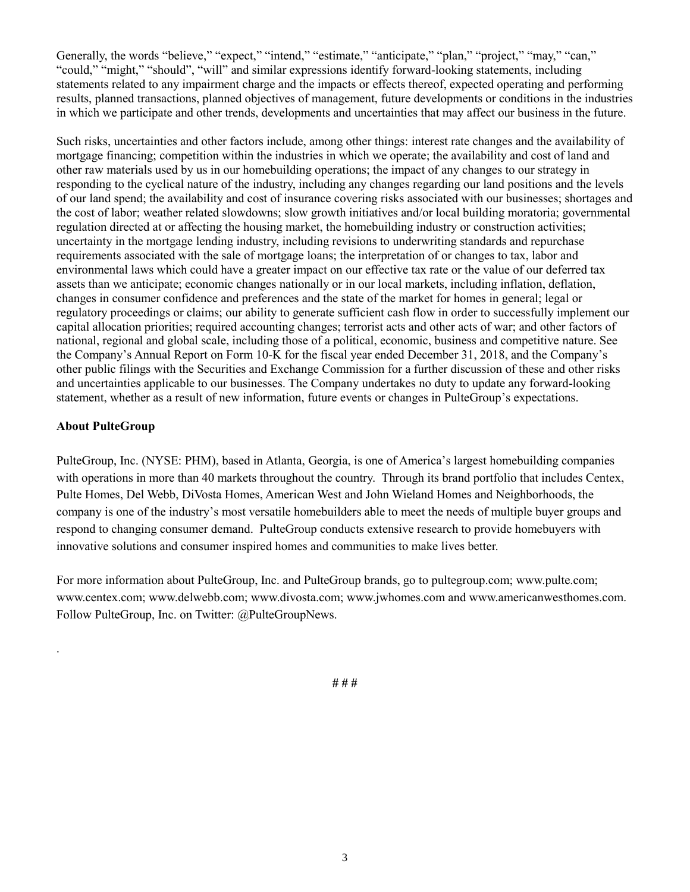Generally, the words "believe," "expect," "intend," "estimate," "anticipate," "plan," "project," "may," "can," "could," "might," "should", "will" and similar expressions identify forward-looking statements, including statements related to any impairment charge and the impacts or effects thereof, expected operating and performing results, planned transactions, planned objectives of management, future developments or conditions in the industries in which we participate and other trends, developments and uncertainties that may affect our business in the future.

Such risks, uncertainties and other factors include, among other things: interest rate changes and the availability of mortgage financing; competition within the industries in which we operate; the availability and cost of land and other raw materials used by us in our homebuilding operations; the impact of any changes to our strategy in responding to the cyclical nature of the industry, including any changes regarding our land positions and the levels of our land spend; the availability and cost of insurance covering risks associated with our businesses; shortages and the cost of labor; weather related slowdowns; slow growth initiatives and/or local building moratoria; governmental regulation directed at or affecting the housing market, the homebuilding industry or construction activities; uncertainty in the mortgage lending industry, including revisions to underwriting standards and repurchase requirements associated with the sale of mortgage loans; the interpretation of or changes to tax, labor and environmental laws which could have a greater impact on our effective tax rate or the value of our deferred tax assets than we anticipate; economic changes nationally or in our local markets, including inflation, deflation, changes in consumer confidence and preferences and the state of the market for homes in general; legal or regulatory proceedings or claims; our ability to generate sufficient cash flow in order to successfully implement our capital allocation priorities; required accounting changes; terrorist acts and other acts of war; and other factors of national, regional and global scale, including those of a political, economic, business and competitive nature. See the Company's Annual Report on Form 10-K for the fiscal year ended December 31, 2018, and the Company's other public filings with the Securities and Exchange Commission for a further discussion of these and other risks and uncertainties applicable to our businesses. The Company undertakes no duty to update any forward-looking statement, whether as a result of new information, future events or changes in PulteGroup's expectations.

### **About PulteGroup**

.

PulteGroup, Inc. (NYSE: PHM), based in Atlanta, Georgia, is one of America's largest homebuilding companies with operations in more than 40 markets throughout the country. Through its brand portfolio that includes Centex, Pulte Homes, Del Webb, DiVosta Homes, American West and John Wieland Homes and Neighborhoods, the company is one of the industry's most versatile homebuilders able to meet the needs of multiple buyer groups and respond to changing consumer demand. PulteGroup conducts extensive research to provide homebuyers with innovative solutions and consumer inspired homes and communities to make lives better.

For more information about PulteGroup, Inc. and PulteGroup brands, go to pultegroup.com; www.pulte.com; www.centex.com; www.delwebb.com; www.divosta.com; www.jwhomes.com and www.americanwesthomes.com. Follow PulteGroup, Inc. on Twitter: @PulteGroupNews.

**# # #**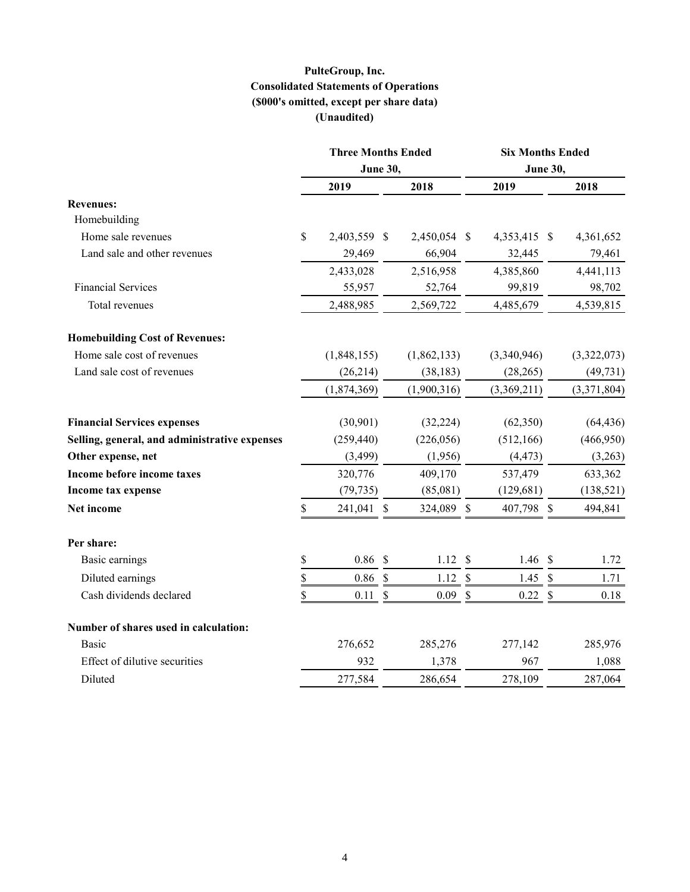## **PulteGroup, Inc. Consolidated Statements of Operations (\$000's omitted, except per share data) (Unaudited)**

|                                               | <b>Three Months Ended</b> |                           |              |                           |                                                                                                                                                                                                                                                                                                                        |  |             |  |
|-----------------------------------------------|---------------------------|---------------------------|--------------|---------------------------|------------------------------------------------------------------------------------------------------------------------------------------------------------------------------------------------------------------------------------------------------------------------------------------------------------------------|--|-------------|--|
|                                               | <b>June 30,</b>           |                           |              |                           | <b>Six Months Ended</b><br><b>June 30,</b><br>2019<br>4,353,415 \$<br>32,445<br>4,385,860<br>99,819<br>4,485,679<br>(3,340,946)<br>(28, 265)<br>(3,369,211)<br>(62, 350)<br>(512, 166)<br>(4, 473)<br>537,479<br>(129, 681)<br>407,798 \$<br>1.46 $$$<br>1.45<br>$\mathcal{S}$<br>$0.22 \text{ }$ \$<br>277,142<br>967 |  |             |  |
|                                               | 2019                      |                           | 2018         |                           |                                                                                                                                                                                                                                                                                                                        |  | 2018        |  |
| <b>Revenues:</b>                              |                           |                           |              |                           |                                                                                                                                                                                                                                                                                                                        |  |             |  |
| Homebuilding                                  |                           |                           |              |                           |                                                                                                                                                                                                                                                                                                                        |  |             |  |
| Home sale revenues                            | \$<br>2,403,559           | -S                        | 2,450,054 \$ |                           |                                                                                                                                                                                                                                                                                                                        |  | 4,361,652   |  |
| Land sale and other revenues                  | 29,469                    |                           | 66,904       |                           |                                                                                                                                                                                                                                                                                                                        |  | 79,461      |  |
|                                               | 2,433,028                 |                           | 2,516,958    |                           |                                                                                                                                                                                                                                                                                                                        |  | 4,441,113   |  |
| <b>Financial Services</b>                     | 55,957                    |                           | 52,764       |                           |                                                                                                                                                                                                                                                                                                                        |  | 98,702      |  |
| Total revenues                                | 2,488,985                 |                           | 2,569,722    |                           |                                                                                                                                                                                                                                                                                                                        |  | 4,539,815   |  |
| <b>Homebuilding Cost of Revenues:</b>         |                           |                           |              |                           |                                                                                                                                                                                                                                                                                                                        |  |             |  |
| Home sale cost of revenues                    | (1,848,155)               |                           | (1,862,133)  |                           |                                                                                                                                                                                                                                                                                                                        |  | (3,322,073) |  |
| Land sale cost of revenues                    | (26,214)                  |                           | (38, 183)    |                           |                                                                                                                                                                                                                                                                                                                        |  | (49, 731)   |  |
|                                               | (1,874,369)               |                           | (1,900,316)  |                           |                                                                                                                                                                                                                                                                                                                        |  | (3,371,804) |  |
| <b>Financial Services expenses</b>            | (30, 901)                 |                           | (32, 224)    |                           |                                                                                                                                                                                                                                                                                                                        |  | (64, 436)   |  |
| Selling, general, and administrative expenses | (259, 440)                |                           | (226, 056)   |                           |                                                                                                                                                                                                                                                                                                                        |  | (466,950)   |  |
| Other expense, net                            | (3, 499)                  |                           | (1,956)      |                           |                                                                                                                                                                                                                                                                                                                        |  | (3,263)     |  |
| Income before income taxes                    | 320,776                   |                           | 409,170      |                           |                                                                                                                                                                                                                                                                                                                        |  | 633,362     |  |
| Income tax expense                            | (79, 735)                 |                           | (85,081)     |                           |                                                                                                                                                                                                                                                                                                                        |  | (138, 521)  |  |
| Net income                                    | \$<br>241,041 \$          |                           | 324,089 \$   |                           |                                                                                                                                                                                                                                                                                                                        |  | 494,841     |  |
| Per share:                                    |                           |                           |              |                           |                                                                                                                                                                                                                                                                                                                        |  |             |  |
| Basic earnings                                | \$<br>$0.86$ \$           |                           | 1.12S        |                           |                                                                                                                                                                                                                                                                                                                        |  | 1.72        |  |
| Diluted earnings                              | \$<br>0.86                | $\mathbb{S}$              | 1.12         | $\mathbb{S}$              |                                                                                                                                                                                                                                                                                                                        |  | 1.71        |  |
| Cash dividends declared                       | \$<br>0.11                | $\boldsymbol{\mathsf{S}}$ | 0.09         | $\boldsymbol{\mathsf{S}}$ |                                                                                                                                                                                                                                                                                                                        |  | 0.18        |  |
| Number of shares used in calculation:         |                           |                           |              |                           |                                                                                                                                                                                                                                                                                                                        |  |             |  |
| <b>Basic</b>                                  | 276,652                   |                           | 285,276      |                           |                                                                                                                                                                                                                                                                                                                        |  | 285,976     |  |
| Effect of dilutive securities                 | 932                       |                           | 1,378        |                           |                                                                                                                                                                                                                                                                                                                        |  | 1,088       |  |
| Diluted                                       | 277,584                   |                           | 286,654      |                           | 278,109                                                                                                                                                                                                                                                                                                                |  | 287,064     |  |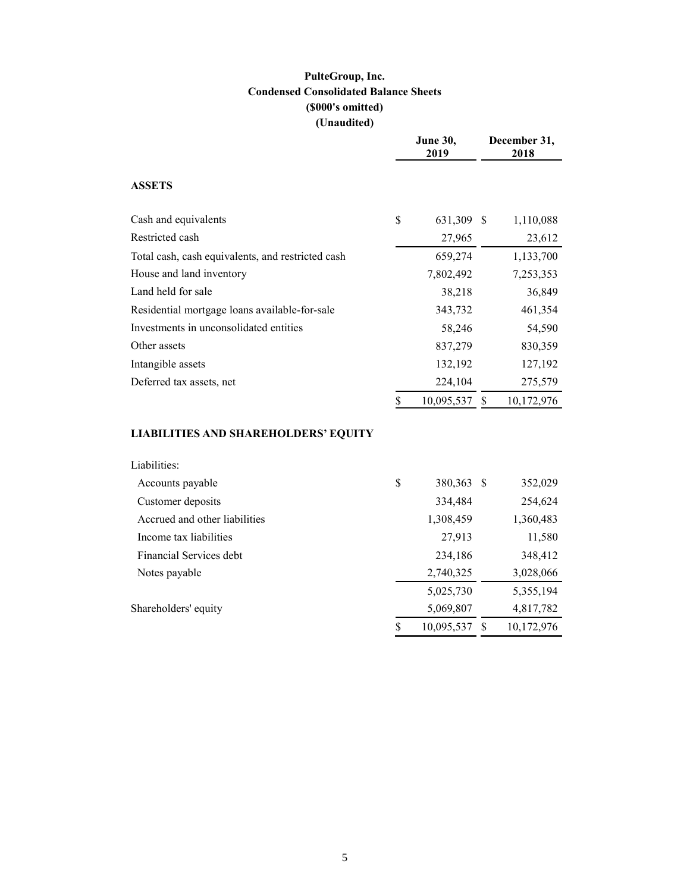# **PulteGroup, Inc. Condensed Consolidated Balance Sheets (\$000's omitted) (Unaudited)**

|                                                   | <b>June 30,</b><br>2019 |    | December 31,<br>2018 |
|---------------------------------------------------|-------------------------|----|----------------------|
| <b>ASSETS</b>                                     |                         |    |                      |
| Cash and equivalents                              | \$<br>631,309           | -S | 1,110,088            |
| Restricted cash                                   | 27,965                  |    | 23,612               |
| Total cash, cash equivalents, and restricted cash | 659,274                 |    | 1,133,700            |
| House and land inventory                          | 7,802,492               |    | 7,253,353            |
| Land held for sale                                | 38,218                  |    | 36,849               |
| Residential mortgage loans available-for-sale     | 343,732                 |    | 461,354              |
| Investments in unconsolidated entities            | 58,246                  |    | 54,590               |
| Other assets                                      | 837,279                 |    | 830,359              |
| Intangible assets                                 | 132,192                 |    | 127,192              |
| Deferred tax assets, net                          | 224,104                 |    | 275,579              |
|                                                   | \$<br>10,095,537        | S. | 10,172,976           |
| <b>LIABILITIES AND SHAREHOLDERS' EQUITY</b>       |                         |    |                      |
| Liabilities:                                      |                         |    |                      |
| Accounts payable                                  | \$<br>380,363           | -S | 352,029              |
| Customer deposits                                 | 334,484                 |    | 254,624              |
| Accrued and other liabilities                     | 1,308,459               |    | 1,360,483            |

| Accounts payable              | \$ | 380,363 \$ | 352,029    |
|-------------------------------|----|------------|------------|
| Customer deposits             |    | 334,484    | 254,624    |
| Accrued and other liabilities |    | 1,308,459  | 1,360,483  |
| Income tax liabilities        |    | 27,913     | 11,580     |
| Financial Services debt.      |    | 234,186    | 348,412    |
| Notes payable                 |    | 2,740,325  | 3,028,066  |
|                               |    | 5,025,730  | 5,355,194  |
| Shareholders' equity          |    | 5,069,807  | 4,817,782  |
|                               | S  | 10,095,537 | 10,172,976 |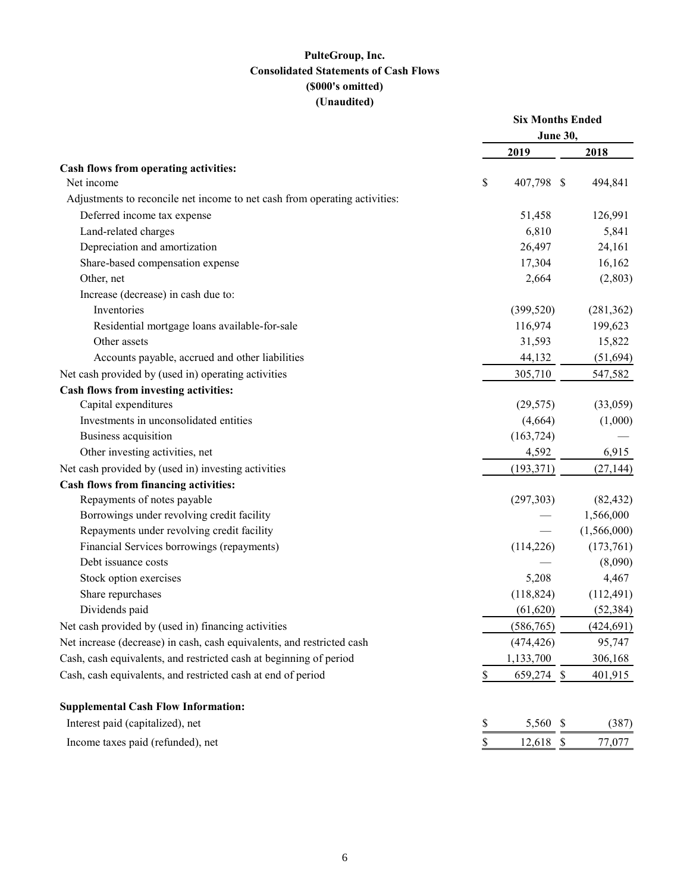## **PulteGroup, Inc. Consolidated Statements of Cash Flows (\$000's omitted) (Unaudited)**

|                                                                            | <b>Six Months Ended</b><br><b>June 30,</b> |    |             |
|----------------------------------------------------------------------------|--------------------------------------------|----|-------------|
|                                                                            | 2019                                       |    | 2018        |
| Cash flows from operating activities:                                      |                                            |    |             |
| Net income                                                                 | \$<br>407,798 \$                           |    | 494,841     |
| Adjustments to reconcile net income to net cash from operating activities: |                                            |    |             |
| Deferred income tax expense                                                | 51,458                                     |    | 126,991     |
| Land-related charges                                                       | 6,810                                      |    | 5,841       |
| Depreciation and amortization                                              | 26,497                                     |    | 24,161      |
| Share-based compensation expense                                           | 17,304                                     |    | 16,162      |
| Other, net                                                                 | 2,664                                      |    | (2,803)     |
| Increase (decrease) in cash due to:                                        |                                            |    |             |
| Inventories                                                                | (399, 520)                                 |    | (281, 362)  |
| Residential mortgage loans available-for-sale                              | 116,974                                    |    | 199,623     |
| Other assets                                                               | 31,593                                     |    | 15,822      |
| Accounts payable, accrued and other liabilities                            | 44,132                                     |    | (51, 694)   |
| Net cash provided by (used in) operating activities                        | 305,710                                    |    | 547,582     |
| Cash flows from investing activities:                                      |                                            |    |             |
| Capital expenditures                                                       | (29, 575)                                  |    | (33,059)    |
| Investments in unconsolidated entities                                     | (4,664)                                    |    | (1,000)     |
| Business acquisition                                                       | (163, 724)                                 |    |             |
| Other investing activities, net                                            | 4,592                                      |    | 6,915       |
| Net cash provided by (used in) investing activities                        | (193, 371)                                 |    | (27, 144)   |
| Cash flows from financing activities:                                      |                                            |    |             |
| Repayments of notes payable                                                | (297,303)                                  |    | (82, 432)   |
| Borrowings under revolving credit facility                                 |                                            |    | 1,566,000   |
| Repayments under revolving credit facility                                 |                                            |    | (1,566,000) |
| Financial Services borrowings (repayments)                                 | (114, 226)                                 |    | (173,761)   |
| Debt issuance costs                                                        |                                            |    | (8,090)     |
| Stock option exercises                                                     | 5,208                                      |    | 4,467       |
| Share repurchases                                                          | (118, 824)                                 |    | (112, 491)  |
| Dividends paid                                                             | (61, 620)                                  |    | (52, 384)   |
| Net cash provided by (used in) financing activities                        | (586,765)                                  |    | (424, 691)  |
| Net increase (decrease) in cash, cash equivalents, and restricted cash     | (474, 426)                                 |    | 95,747      |
| Cash, cash equivalents, and restricted cash at beginning of period         | 1,133,700                                  |    | 306,168     |
| Cash, cash equivalents, and restricted cash at end of period               | \$<br>659,274 \$                           |    | 401,915     |
| <b>Supplemental Cash Flow Information:</b>                                 |                                            |    |             |
| Interest paid (capitalized), net                                           | \$<br>5,560                                | -S | (387)       |
| Income taxes paid (refunded), net                                          | \$<br>12,618                               | -S | 77,077      |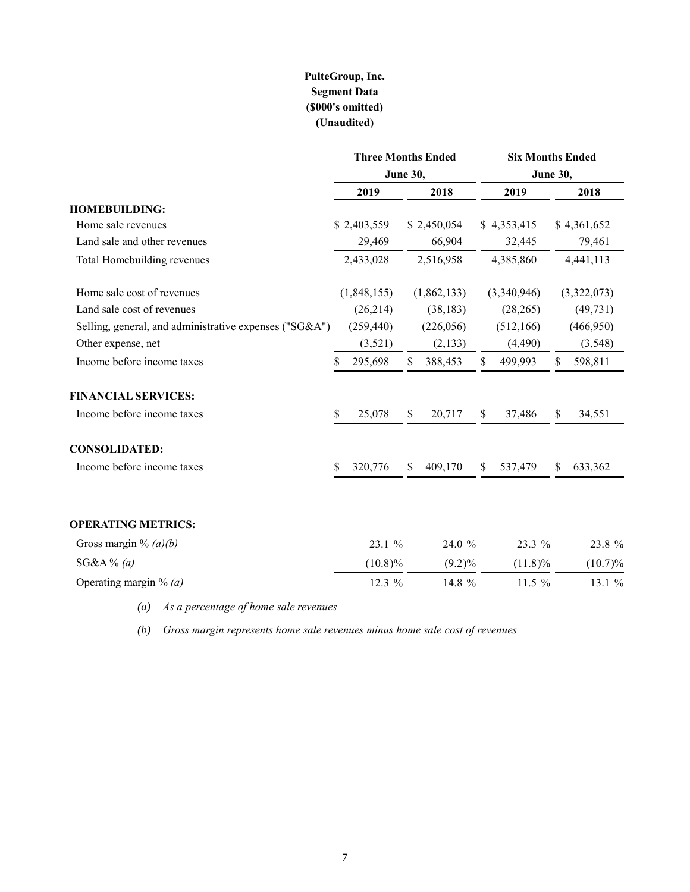# **PulteGroup, Inc. Segment Data (\$000's omitted) (Unaudited)**

|                                                        | <b>Three Months Ended</b> |                             |    | <b>Six Months Ended</b> |    |             |    |             |  |
|--------------------------------------------------------|---------------------------|-----------------------------|----|-------------------------|----|-------------|----|-------------|--|
|                                                        |                           | <b>June 30,</b><br>June 30, |    |                         |    |             |    |             |  |
|                                                        |                           | 2019                        |    | 2018                    |    | 2019        |    | 2018        |  |
| <b>HOMEBUILDING:</b>                                   |                           |                             |    |                         |    |             |    |             |  |
| Home sale revenues                                     |                           | \$2,403,559                 |    | \$2,450,054             |    | \$4,353,415 |    | \$4,361,652 |  |
| Land sale and other revenues                           |                           | 29,469                      |    | 66,904                  |    | 32,445      |    | 79,461      |  |
| Total Homebuilding revenues                            |                           | 2,433,028                   |    | 2,516,958               |    | 4,385,860   |    | 4,441,113   |  |
| Home sale cost of revenues                             |                           | (1,848,155)                 |    | (1,862,133)             |    | (3,340,946) |    | (3,322,073) |  |
| Land sale cost of revenues                             |                           | (26, 214)                   |    | (38, 183)               |    | (28, 265)   |    | (49, 731)   |  |
| Selling, general, and administrative expenses ("SG&A") |                           | (259, 440)                  |    | (226,056)               |    | (512, 166)  |    | (466,950)   |  |
| Other expense, net                                     |                           | (3,521)                     |    | (2,133)                 |    | (4,490)     |    | (3,548)     |  |
| Income before income taxes                             | \$                        | 295,698                     | \$ | 388,453                 | \$ | 499,993     | \$ | 598,811     |  |
| <b>FINANCIAL SERVICES:</b>                             |                           |                             |    |                         |    |             |    |             |  |
| Income before income taxes                             | \$                        | 25,078                      | \$ | 20,717                  | \$ | 37,486      | \$ | 34,551      |  |
| <b>CONSOLIDATED:</b>                                   |                           |                             |    |                         |    |             |    |             |  |
| Income before income taxes                             | \$                        | 320,776                     | S  | 409,170                 | \$ | 537,479     | \$ | 633,362     |  |
| <b>OPERATING METRICS:</b>                              |                           |                             |    |                         |    |             |    |             |  |
| Gross margin % $(a)(b)$                                |                           | 23.1 %                      |    | 24.0 %                  |    | 23.3 %      |    | 23.8 %      |  |
| $SG&A\%$ (a)                                           |                           | $(10.8)\%$                  |    | $(9.2)\%$               |    | $(11.8)\%$  |    | $(10.7)\%$  |  |
| Operating margin % $(a)$                               |                           | 12.3 %                      |    | 14.8 %                  |    | 11.5 $%$    |    | 13.1 %      |  |

*(a) As a percentage of home sale revenues*

*(b) Gross margin represents home sale revenues minus home sale cost of revenues*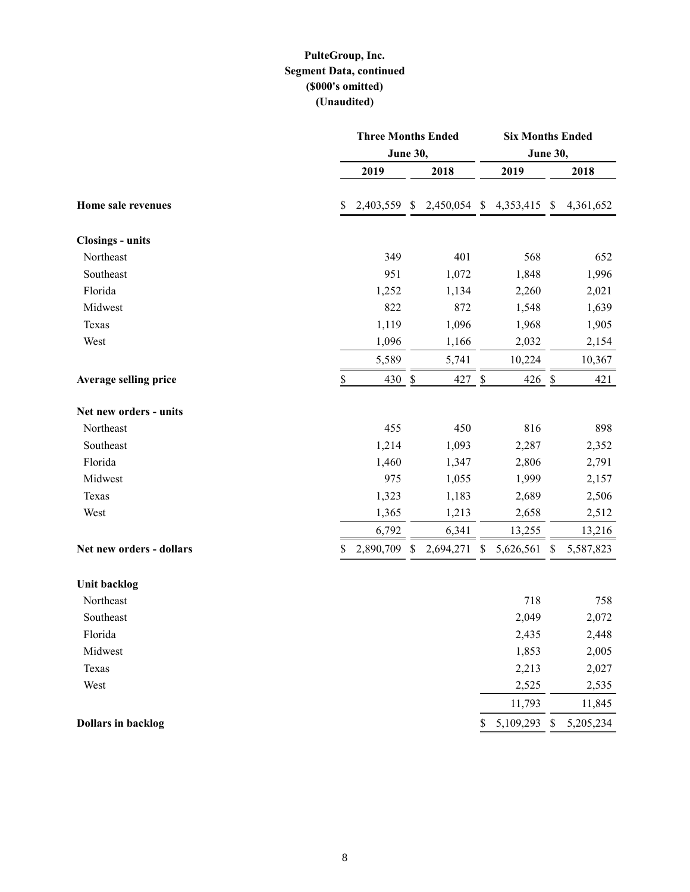## **PulteGroup, Inc. Segment Data, continued (\$000's omitted) (Unaudited)**

|                              | <b>Three Months Ended</b> |               |                 |               |              | <b>Six Months Ended</b>   |           |  |  |  |  |  |
|------------------------------|---------------------------|---------------|-----------------|---------------|--------------|---------------------------|-----------|--|--|--|--|--|
|                              | <b>June 30,</b>           |               | <b>June 30,</b> |               |              |                           |           |  |  |  |  |  |
|                              | 2019                      |               | 2018            |               | 2019         |                           | 2018      |  |  |  |  |  |
| Home sale revenues           | \$<br>2,403,559 \$        |               | 2,450,054 \$    |               | 4,353,415 \$ |                           | 4,361,652 |  |  |  |  |  |
| <b>Closings - units</b>      |                           |               |                 |               |              |                           |           |  |  |  |  |  |
| Northeast                    | 349                       |               | 401             |               | 568          |                           | 652       |  |  |  |  |  |
| Southeast                    | 951                       |               | 1,072           |               | 1,848        |                           | 1,996     |  |  |  |  |  |
| Florida                      | 1,252                     |               | 1,134           |               | 2,260        |                           | 2,021     |  |  |  |  |  |
| Midwest                      | 822                       |               | 872             |               | 1,548        |                           | 1,639     |  |  |  |  |  |
| Texas                        | 1,119                     |               | 1,096           |               | 1,968        |                           | 1,905     |  |  |  |  |  |
| West                         | 1,096                     |               | 1,166           |               | 2,032        |                           | 2,154     |  |  |  |  |  |
|                              | 5,589                     |               | 5,741           |               | 10,224       |                           | 10,367    |  |  |  |  |  |
| <b>Average selling price</b> | \$<br>430                 | $\frac{1}{2}$ | 427             | $\frac{1}{2}$ | $426 \,$ \$  |                           | 421       |  |  |  |  |  |
| Net new orders - units       |                           |               |                 |               |              |                           |           |  |  |  |  |  |
| Northeast                    | 455                       |               | 450             |               | 816          |                           | 898       |  |  |  |  |  |
| Southeast                    | 1,214                     |               | 1,093           |               | 2,287        |                           | 2,352     |  |  |  |  |  |
| Florida                      | 1,460                     |               | 1,347           |               | 2,806        |                           | 2,791     |  |  |  |  |  |
| Midwest                      | 975                       |               | 1,055           |               | 1,999        |                           | 2,157     |  |  |  |  |  |
| Texas                        | 1,323                     |               | 1,183           |               | 2,689        |                           | 2,506     |  |  |  |  |  |
| West                         | 1,365                     |               | 1,213           |               | 2,658        |                           | 2,512     |  |  |  |  |  |
|                              | 6,792                     |               | 6,341           |               | 13,255       |                           | 13,216    |  |  |  |  |  |
| Net new orders - dollars     | \$<br>2,890,709           | $\mathbb{S}$  | 2,694,271       | \$            | 5,626,561    | \$                        | 5,587,823 |  |  |  |  |  |
| <b>Unit backlog</b>          |                           |               |                 |               |              |                           |           |  |  |  |  |  |
| Northeast                    |                           |               |                 |               | 718          |                           | 758       |  |  |  |  |  |
| Southeast                    |                           |               |                 |               | 2,049        |                           | 2,072     |  |  |  |  |  |
| Florida                      |                           |               |                 |               | 2,435        |                           | 2,448     |  |  |  |  |  |
| Midwest                      |                           |               |                 |               | 1,853        |                           | 2,005     |  |  |  |  |  |
| Texas                        |                           |               |                 |               | 2,213        |                           | 2,027     |  |  |  |  |  |
| West                         |                           |               |                 |               | 2,525        |                           | 2,535     |  |  |  |  |  |
|                              |                           |               |                 |               | 11,793       |                           | 11,845    |  |  |  |  |  |
| <b>Dollars in backlog</b>    |                           |               |                 | \$            | 5,109,293    | $\boldsymbol{\mathsf{S}}$ | 5,205,234 |  |  |  |  |  |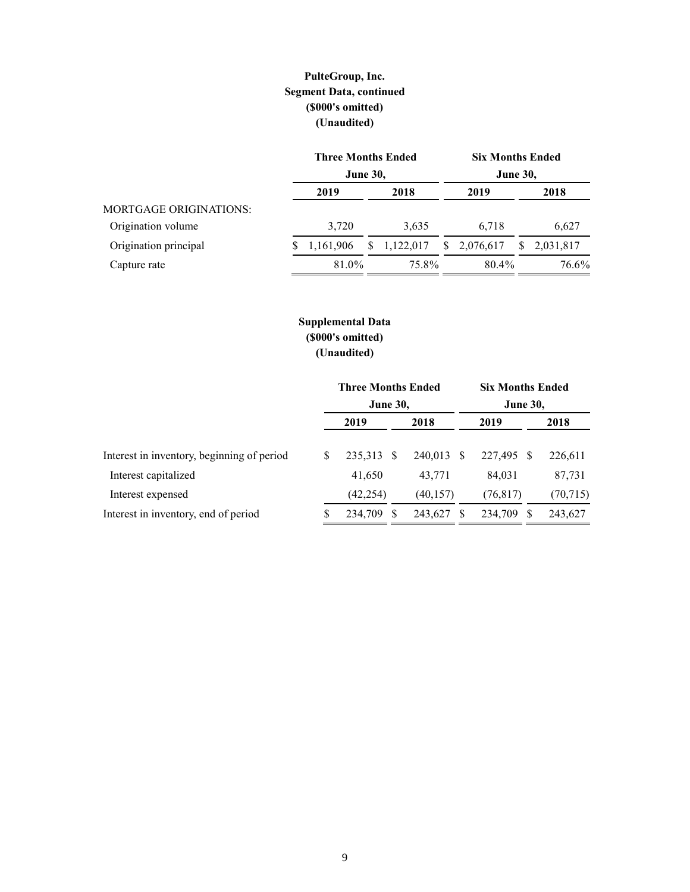# **PulteGroup, Inc. Segment Data, continued (\$000's omitted) (Unaudited)**

|                               |   | <b>Three Months Ended</b><br><b>Six Months Ended</b><br><b>June 30,</b><br><b>June 30,</b> |    |           |  |             |    |           |  |  |  |
|-------------------------------|---|--------------------------------------------------------------------------------------------|----|-----------|--|-------------|----|-----------|--|--|--|
|                               |   |                                                                                            |    |           |  |             |    |           |  |  |  |
|                               |   | 2019                                                                                       |    | 2018      |  | 2019        |    | 2018      |  |  |  |
| <b>MORTGAGE ORIGINATIONS:</b> |   |                                                                                            |    |           |  |             |    |           |  |  |  |
| Origination volume            |   | 3,720                                                                                      |    | 3,635     |  | 6.718       |    | 6,627     |  |  |  |
| Origination principal         | S | 1,161,906                                                                                  | S. | 1,122,017 |  | \$2,076,617 | S. | 2,031,817 |  |  |  |
| Capture rate                  |   | 81.0%                                                                                      |    | 75.8%     |  | 80.4%       |    | 76.6%     |  |  |  |

## **Supplemental Data (\$000's omitted) (Unaudited)**

|                                            | <b>Three Months Ended</b><br><b>June 30,</b> |            |     | <b>Six Months Ended</b><br><b>June 30,</b> |  |               |           |  |
|--------------------------------------------|----------------------------------------------|------------|-----|--------------------------------------------|--|---------------|-----------|--|
|                                            |                                              | 2019       |     | 2018                                       |  | 2019          | 2018      |  |
| Interest in inventory, beginning of period | S                                            | 235,313 \$ |     | 240,013 \$                                 |  | 227,495<br>-S | 226,611   |  |
| Interest capitalized                       |                                              | 41,650     |     | 43.771                                     |  | 84.031        | 87,731    |  |
| Interest expensed                          |                                              | (42, 254)  |     | (40, 157)                                  |  | (76, 817)     | (70, 715) |  |
| Interest in inventory, end of period       | S                                            | 234,709    | - S | 243,627                                    |  | 234,709       | 243,627   |  |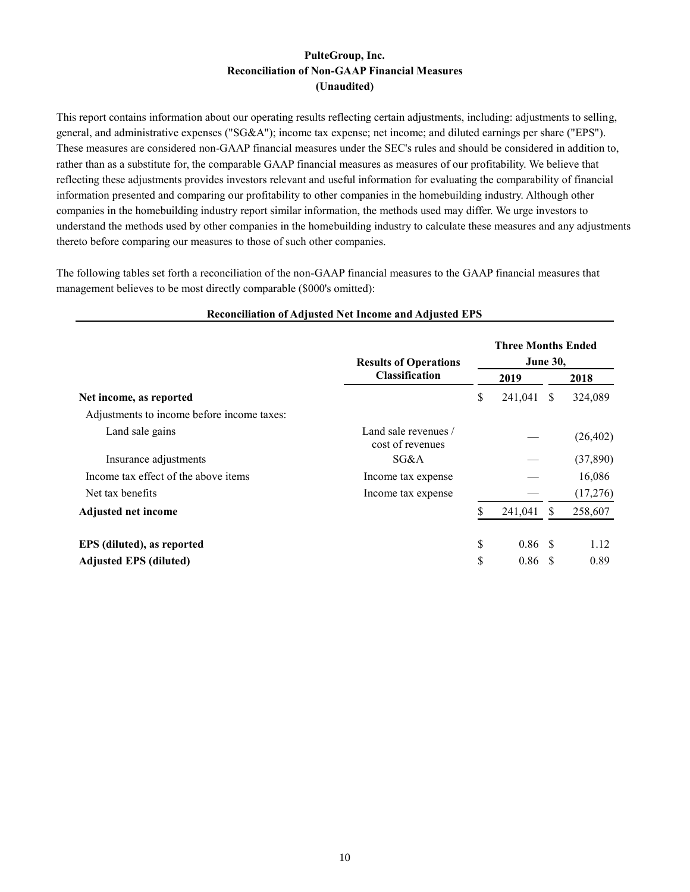### **PulteGroup, Inc. Reconciliation of Non-GAAP Financial Measures (Unaudited)**

This report contains information about our operating results reflecting certain adjustments, including: adjustments to selling, general, and administrative expenses ("SG&A"); income tax expense; net income; and diluted earnings per share ("EPS"). These measures are considered non-GAAP financial measures under the SEC's rules and should be considered in addition to, rather than as a substitute for, the comparable GAAP financial measures as measures of our profitability. We believe that reflecting these adjustments provides investors relevant and useful information for evaluating the comparability of financial information presented and comparing our profitability to other companies in the homebuilding industry. Although other companies in the homebuilding industry report similar information, the methods used may differ. We urge investors to understand the methods used by other companies in the homebuilding industry to calculate these measures and any adjustments thereto before comparing our measures to those of such other companies.

The following tables set forth a reconciliation of the non-GAAP financial measures to the GAAP financial measures that management believes to be most directly comparable (\$000's omitted):

|                                            | <b>Results of Operations</b>             |      |         | <b>Three Months Ended</b><br><b>June 30,</b> |           |  |
|--------------------------------------------|------------------------------------------|------|---------|----------------------------------------------|-----------|--|
|                                            | <b>Classification</b>                    | 2019 |         | 2018                                         |           |  |
| Net income, as reported                    |                                          | \$   | 241,041 | <sup>S</sup>                                 | 324,089   |  |
| Adjustments to income before income taxes: |                                          |      |         |                                              |           |  |
| Land sale gains                            | Land sale revenues /<br>cost of revenues |      |         |                                              | (26, 402) |  |
| Insurance adjustments                      | SG&A                                     |      |         |                                              | (37,890)  |  |
| Income tax effect of the above items       | Income tax expense                       |      |         |                                              | 16,086    |  |
| Net tax benefits                           | Income tax expense                       |      |         |                                              | (17,276)  |  |
| <b>Adjusted net income</b>                 |                                          |      | 241,041 |                                              | 258,607   |  |
| EPS (diluted), as reported                 |                                          | \$   | 0.86    | - \$                                         | 1.12      |  |
| <b>Adjusted EPS (diluted)</b>              |                                          | \$   | 0.86    | <b>S</b>                                     | 0.89      |  |

#### **Reconciliation of Adjusted Net Income and Adjusted EPS**